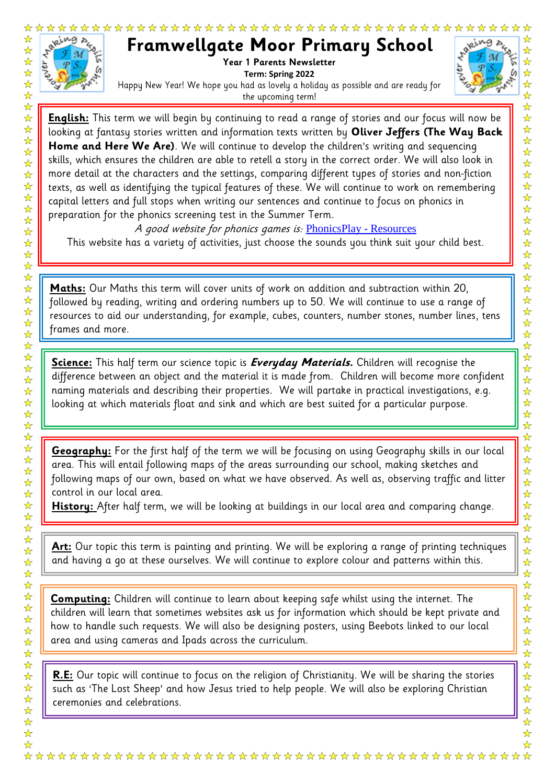

☆☆☆☆☆☆☆☆☆☆☆☆☆☆☆☆☆☆

☆☆☆☆☆☆☆☆☆☆☆☆☆☆☆☆☆☆☆☆☆☆☆☆☆☆☆

☆☆☆☆☆☆☆☆☆☆☆☆☆☆

 $\frac{1}{\sqrt{2}}$ 

 $\overrightarrow{x}$ 

## **Framwellgate Moor Primary School**

Year 1 Parents Newsletter **Term: Spring 2022** Happy New Year! We hope you had as lovely a holiday as possible and are ready for the upcoming term!



n **English:** This term we will begin by continuing to read a range of stories and our focus will now be looking at fantasy stories written and information texts written by **Oliver Jeffers (The Way Back Home and Here We Are)**. We will continue to develop the children's writing and sequencing skills, which ensures the children are able to retell a story in the correct order. We will also look in more detail at the characters and the settings, comparing different types of stories and non-fiction texts, as well as identifying the typical features of these. We will continue to work on remembering capital letters and full stops when writing our sentences and continue to focus on phonics in preparation for the phonics screening test in the Summer Term.

A good website for phonics games is: [PhonicsPlay -](https://www.phonicsplay.co.uk/resources) Resources This website has a variety of activities, just choose the sounds you think suit your child best.

**Maths:** Our Maths this term will cover units of work on addition and subtraction within 20, followed by reading, writing and ordering numbers up to 50. We will continue to use a range of resources to aid our understanding, for example, cubes, counters, number stones, number lines, tens frames and more.

**Science:** This half term our science topic is **Everyday Materials.** Children will recognise the difference between an object and the material it is made from. Children will become more confident naming materials and describing their properties. We will partake in practical investigations, e.g. looking at which materials float and sink and which are best suited for a particular purpose.

**Geography:** For the first half of the term we will be focusing on using Geography skills in our local area. This will entail following maps of the areas surrounding our school, making sketches and following maps of our own, based on what we have observed. As well as, observing traffic and litter control in our local area.

**History:** After half term, we will be looking at buildings in our local area and comparing change.

**Art:** Our topic this term is painting and printing. We will be exploring a range of printing techniques and having a go at these ourselves. We will continue to explore colour and patterns within this.

**Computing:** Children will continue to learn about keeping safe whilst using the internet. The children will learn that sometimes websites ask us for information which should be kept private and how to handle such requests. We will also be designing posters, using Beebots linked to our local area and using cameras and Ipads across the curriculum.

**R.E:** Our topic will continue to focus on the religion of Christianity. We will be sharing the stories such as 'The Lost Sheep' and how Jesus tried to help people. We will also be exploring Christian ceremonies and celebrations.